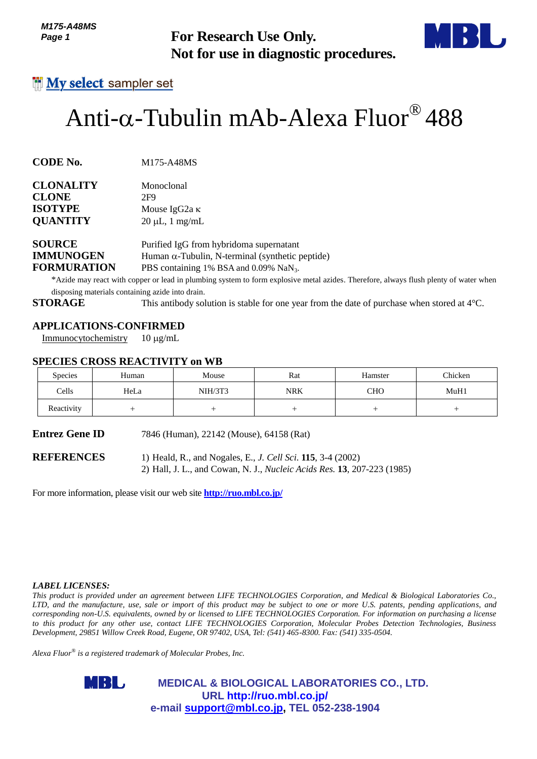*M175-A48MS Page 1*



# Anti- $\alpha$ -Tubulin mAb-Alexa Fluor $^{\circledR}$ 488

| <b>CLONALITY</b> | Monoclonal<br>2F9<br>Mouse IgG2a $\kappa$ |  |  |
|------------------|-------------------------------------------|--|--|
| <b>CLONE</b>     |                                           |  |  |
| <b>ISOTYPE</b>   |                                           |  |  |
| <b>QUANTITY</b>  | $20 \mu L$ , 1 mg/mL                      |  |  |
|                  |                                           |  |  |

## **APPLICATIONS-CONFIRMED**

### **SPECIES CROSS REACTIVITY on WB**

| טווט <del>ו מ</del> יז ווו<br>Page 1                                      |                                                                                         | <b>For Research Use Only.</b><br>Not for use in diagnostic procedures.                                                                                                                                                                                                                                                                                                                                                                                                                                                                                                                                                                             |                           |            |         |  |  |  |
|---------------------------------------------------------------------------|-----------------------------------------------------------------------------------------|----------------------------------------------------------------------------------------------------------------------------------------------------------------------------------------------------------------------------------------------------------------------------------------------------------------------------------------------------------------------------------------------------------------------------------------------------------------------------------------------------------------------------------------------------------------------------------------------------------------------------------------------------|---------------------------|------------|---------|--|--|--|
|                                                                           | <b>My select sampler set</b>                                                            |                                                                                                                                                                                                                                                                                                                                                                                                                                                                                                                                                                                                                                                    |                           |            |         |  |  |  |
|                                                                           |                                                                                         | Anti- $\alpha$ -Tubulin mAb-Alexa Fluor® 488                                                                                                                                                                                                                                                                                                                                                                                                                                                                                                                                                                                                       |                           |            |         |  |  |  |
| CODE No.                                                                  |                                                                                         | M175-A48MS                                                                                                                                                                                                                                                                                                                                                                                                                                                                                                                                                                                                                                         |                           |            |         |  |  |  |
| CLONALITY<br><b>CLONE</b><br><b>ISOTYPE</b><br><b>QUANTITY</b>            | 2F9                                                                                     | Monoclonal<br>Mouse IgG <sub>2a</sub> κ<br>$20 \mu L$ , 1 mg/mL                                                                                                                                                                                                                                                                                                                                                                                                                                                                                                                                                                                    |                           |            |         |  |  |  |
| <b>SOURCE</b><br><b>IMMUNOGEN</b><br><b>FORMURATION</b><br><b>STORAGE</b> | disposing materials containing azide into drain.                                        | Purified IgG from hybridoma supernatant<br>Human $\alpha$ -Tubulin, N-terminal (synthetic peptide)<br>PBS containing 1% BSA and 0.09% NaN <sub>3</sub> .<br>*Azide may react with copper or lead in plumbing system to form explosive metal azides. Therefore, always flush plenty of water when<br>This antibody solution is stable for one year from the date of purchase when stored at $4^{\circ}$ C.                                                                                                                                                                                                                                          |                           |            |         |  |  |  |
| Immunocytochemistry                                                       | <b>APPLICATIONS-CONFIRMED</b><br>$10 \mu g/mL$<br><b>SPECIES CROSS REACTIVITY on WB</b> |                                                                                                                                                                                                                                                                                                                                                                                                                                                                                                                                                                                                                                                    |                           |            |         |  |  |  |
| <b>Species</b>                                                            | Human                                                                                   | Mouse                                                                                                                                                                                                                                                                                                                                                                                                                                                                                                                                                                                                                                              | Rat                       | Hamster    | Chicken |  |  |  |
| Cells                                                                     | HeLa                                                                                    | <b>NIH/3T3</b>                                                                                                                                                                                                                                                                                                                                                                                                                                                                                                                                                                                                                                     | <b>NRK</b>                | <b>CHO</b> | MuH1    |  |  |  |
| Reactivity                                                                | $^{+}$                                                                                  | $^{+}$                                                                                                                                                                                                                                                                                                                                                                                                                                                                                                                                                                                                                                             | $^{+}$                    | $^{+}$     | $^{+}$  |  |  |  |
| Entrez Gene ID                                                            |                                                                                         | 7846 (Human), 22142 (Mouse), 64158 (Rat)                                                                                                                                                                                                                                                                                                                                                                                                                                                                                                                                                                                                           |                           |            |         |  |  |  |
| <b>REFERENCES</b>                                                         |                                                                                         | 1) Heald, R., and Nogales, E., <i>J. Cell Sci.</i> <b>115</b> , 3-4 (2002)<br>2) Hall, J. L., and Cowan, N. J., <i>Nucleic Acids Res.</i> <b>13</b> , 207-223 (1985)<br>For more information, please visit our web site <b>http://ruo.mbl.co.jp/</b>                                                                                                                                                                                                                                                                                                                                                                                               |                           |            |         |  |  |  |
| <i><b>LABEL LICENSES:</b></i>                                             | Alexa Fluor $^{\circledast}$ is a registered trademark of Molecular Probes, Inc.        | This product is provided under an agreement between LIFE TECHNOLOGIES Corporation, and Medical & Biological Laboratories Co.,<br>LTD, and the manufacture, use, sale or import of this product may be subject to one or more U.S. patents, pending applications, and<br>corresponding non-U.S. equivalents, owned by or licensed to LIFE TECHNOLOGIES Corporation. For information on purchasing a license<br>o this product for any other use, contact LIFE TECHNOLOGIES Corporation, Molecular Probes Detection Technologies, Business<br>Development, 29851 Willow Creek Road, Eugene, OR 97402, USA, Tel: (541) 465-8300. Fax: (541) 335-0504. |                           |            |         |  |  |  |
|                                                                           | MBL                                                                                     | <b>MEDICAL &amp; BIOLOGICAL LABORATORIES CO., LTD.</b><br>e-mail support@mbl.co.jp, TEL 052-238-1904                                                                                                                                                                                                                                                                                                                                                                                                                                                                                                                                               | URL http://ruo.mbl.co.jp/ |            |         |  |  |  |

#### *LABEL LICENSES:*

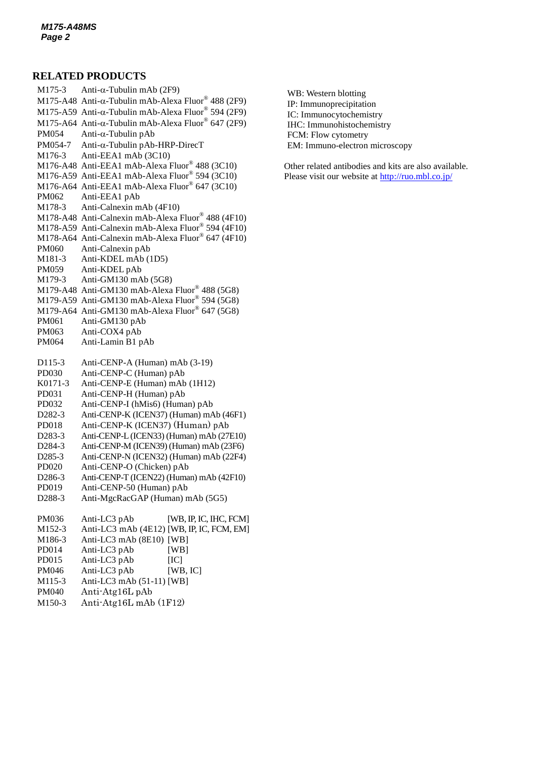#### **RELATED PRODUCTS**

M175-3 Anti- $\alpha$ [-Tubulin mAb](http://ruo.mbl.co.jp/dtl/A/M175-3/) (2F9) M175-A48 Anti- $\alpha$ -Tubulin mAb-Alexa Fluor $^{\circ}$  488 (2F9) M175-A59 Anti- $\alpha$ -Tubulin mAb-Alexa Fluor® 594 (2F9) M175-A64 Anti- $\alpha$ -Tubulin mAb-Alexa Fluor® 647 (2F9)  $PM054$  Anti- $\alpha$ [-Tubulin pAb](http://ruo.mbl.co.jp/dtl/A/PM054/)  $PM054-7$  Anti- $\alpha$ [-Tubulin pAb-HRP-DirecT](http://ruo.mbl.co.jp/dtl/A/PM054-7/) M176-3 Anti-EEA1 mAb (3C10) M176-A48 Anti-EEA1 mAb-Alexa Fluor® 488 (3C10) M176-A59 Anti-EEA1 mAb-Alexa Fluor® 594 (3C10) M176-A64 Anti-EEA1 mAb-Alexa Fluor® 647 (3C10) PM062 Anti-EEA1 pAb M178-3 Anti-Calnexin mAb (4F10) M178-A48 Anti-Calnexin mAb-Alexa Fluor® 488 (4F10) M178-A59 Anti-Calnexin mAb-Alexa Fluor® 594 (4F10) M178-A64 Anti-Calnexin mAb-Alexa Fluor® 647 (4F10) PM060 Anti-Calnexin pAb M181-3 Anti-KDEL mAb (1D5) PM059 Anti-KDEL pAb M179-3 Anti-GM130 mAb (5G8) M179-A48 Anti-GM130 mAb-Alexa Fluor® 488 (5G8) M179-A59 Anti-GM130 mAb-Alexa Fluor® 594 (5G8) M179-A64 Anti-GM130 mAb-Alexa Fluor® 647 (5G8) PM061 Anti-GM130 pAb PM063 Anti-COX4 pAb PM064 Anti-Lamin B1 pAb D115-3 Anti-CENP-A (Human) mAb (3-19) PD030 [Anti-CENP-C \(Human\) pAb](http://ruo.mbl.co.jp/dtl/A/PD030/) K0171-3 Anti-CENP-E (Human) mAb (1H12) PD031 [Anti-CENP-H](http://ruo.mbl.co.jp/dtl/A/PD030/) (Human) pAb PD032 Anti-CENP-I (hMis6) [\(Human\) pAb](http://ruo.mbl.co.jp/dtl/A/PD032/) D282-3 Anti-CENP-K [\(ICEN37\) \(Human\) mAb](http://ruo.mbl.co.jp/dtl/A/D282-3/) (46F1) PD018 Anti-CENP-K (ICEN37) (Human) pAb D283-3 [Anti-CENP-L \(ICEN33\) \(Human\) mAb](http://ruo.mbl.co.jp/dtl/A/D283-3/) (27E10) D284-3 [Anti-CENP-M \(ICEN39\) \(Human\) mAb](http://ruo.mbl.co.jp/dtl/A/D284-3/) (23F6) D285-3 [Anti-CENP-N \(ICEN32\) \(Human\) mAb](http://ruo.mbl.co.jp/dtl/A/D285-3/) (22F4) PD020 Anti-CENP-O (Chicken) pAb D286-3 [Anti-CENP-T \(ICEN22\) \(Human\) mAb](http://ruo.mbl.co.jp/dtl/A/D286-3/) (42F10) PD019 Anti-CENP-50 (Human) pAb D288-3 Anti-MgcRacGAP (Human) mAb (5G5) PM036 Anti-LC3 pAb [WB, IP, IC, IHC, FCM] M152-3 Anti-LC3 mAb (4E12) [WB, IP, IC, FCM, EM] M186-3 Anti-LC3 mAb (8E10) [WB] PD014 Anti-LC3 pAb [WB] PD015 Anti-LC3 pAb [IC] PM046 Anti-LC3 pAb [WB, IC] M115-3 Anti-LC3 mAb (51-11) [WB] PM040 [Anti-Atg16L pAb](http://ruo.mbl.co.jp/dtl/A/PM040/)

M150-3 [Anti-Atg16L mAb](http://ruo.mbl.co.jp/dtl/A/M150-3/) (1F12)

WB: Western blotting IP: Immunoprecipitation IC: Immunocytochemistry IHC: Immunohistochemistry FCM: Flow cytometry EM: Immuno-electron microscopy

Other related antibodies and kits are also available. Please visit our website at<http://ruo.mbl.co.jp/>